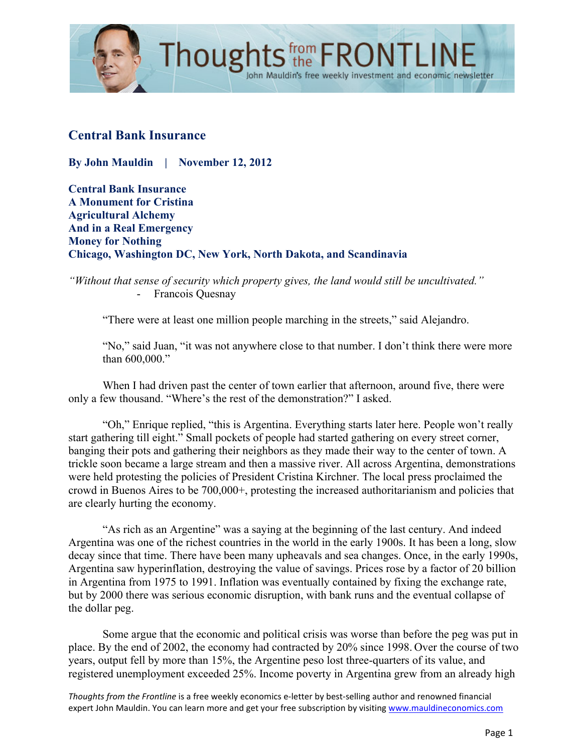

### **Central Bank Insurance**

**By John Mauldin | November 12, 2012**

**Central Bank Insurance A Monument for Cristina Agricultural Alchemy And in a Real Emergency Money for Nothing Chicago, Washington DC, New York, North Dakota, and Scandinavia**

*"Without that sense of security which property gives, the land would still be uncultivated."*  - Francois Quesnay

"There were at least one million people marching in the streets," said Alejandro.

"No," said Juan, "it was not anywhere close to that number. I don't think there were more than 600,000."

When I had driven past the center of town earlier that afternoon, around five, there were only a few thousand. "Where's the rest of the demonstration?" I asked.

"Oh," Enrique replied, "this is Argentina. Everything starts later here. People won't really start gathering till eight." Small pockets of people had started gathering on every street corner, banging their pots and gathering their neighbors as they made their way to the center of town. A trickle soon became a large stream and then a massive river. All across Argentina, demonstrations were held protesting the policies of President Cristina Kirchner. The local press proclaimed the crowd in Buenos Aires to be 700,000+, protesting the increased authoritarianism and policies that are clearly hurting the economy.

"As rich as an Argentine" was a saying at the beginning of the last century. And indeed Argentina was one of the richest countries in the world in the early 1900s. It has been a long, slow decay since that time. There have been many upheavals and sea changes. Once, in the early 1990s, Argentina saw hyperinflation, destroying the value of savings. Prices rose by a factor of 20 billion in Argentina from 1975 to 1991. Inflation was eventually contained by fixing the exchange rate, but by 2000 there was serious economic disruption, with bank runs and the eventual collapse of the dollar peg.

Some argue that the economic and political crisis was worse than before the peg was put in place. By the end of 2002, the economy had contracted by 20% since 1998. Over the course of two years, output fell by more than 15%, the Argentine peso lost three-quarters of its value, and registered unemployment exceeded 25%. Income poverty in Argentina grew from an already high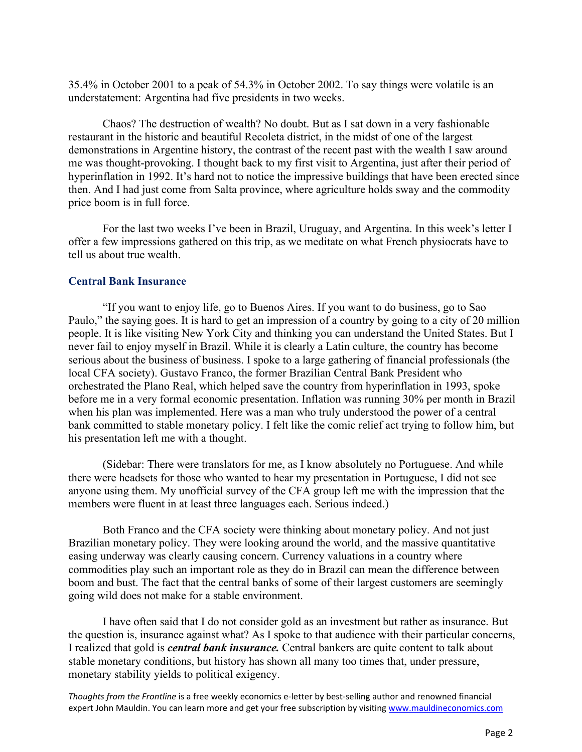35.4% in October 2001 to a peak of 54.3% in October 2002. To say things were volatile is an understatement: Argentina had five presidents in two weeks.

Chaos? The destruction of wealth? No doubt. But as I sat down in a very fashionable restaurant in the historic and beautiful Recoleta district, in the midst of one of the largest demonstrations in Argentine history, the contrast of the recent past with the wealth I saw around me was thought-provoking. I thought back to my first visit to Argentina, just after their period of hyperinflation in 1992. It's hard not to notice the impressive buildings that have been erected since then. And I had just come from Salta province, where agriculture holds sway and the commodity price boom is in full force.

For the last two weeks I've been in Brazil, Uruguay, and Argentina. In this week's letter I offer a few impressions gathered on this trip, as we meditate on what French physiocrats have to tell us about true wealth.

#### **Central Bank Insurance**

"If you want to enjoy life, go to Buenos Aires. If you want to do business, go to Sao Paulo," the saying goes. It is hard to get an impression of a country by going to a city of 20 million people. It is like visiting New York City and thinking you can understand the United States. But I never fail to enjoy myself in Brazil. While it is clearly a Latin culture, the country has become serious about the business of business. I spoke to a large gathering of financial professionals (the local CFA society). Gustavo Franco, the former Brazilian Central Bank President who orchestrated the Plano Real, which helped save the country from hyperinflation in 1993, spoke before me in a very formal economic presentation. Inflation was running 30% per month in Brazil when his plan was implemented. Here was a man who truly understood the power of a central bank committed to stable monetary policy. I felt like the comic relief act trying to follow him, but his presentation left me with a thought.

(Sidebar: There were translators for me, as I know absolutely no Portuguese. And while there were headsets for those who wanted to hear my presentation in Portuguese, I did not see anyone using them. My unofficial survey of the CFA group left me with the impression that the members were fluent in at least three languages each. Serious indeed.)

Both Franco and the CFA society were thinking about monetary policy. And not just Brazilian monetary policy. They were looking around the world, and the massive quantitative easing underway was clearly causing concern. Currency valuations in a country where commodities play such an important role as they do in Brazil can mean the difference between boom and bust. The fact that the central banks of some of their largest customers are seemingly going wild does not make for a stable environment.

I have often said that I do not consider gold as an investment but rather as insurance. But the question is, insurance against what? As I spoke to that audience with their particular concerns, I realized that gold is *central bank insurance.* Central bankers are quite content to talk about stable monetary conditions, but history has shown all many too times that, under pressure, monetary stability yields to political exigency.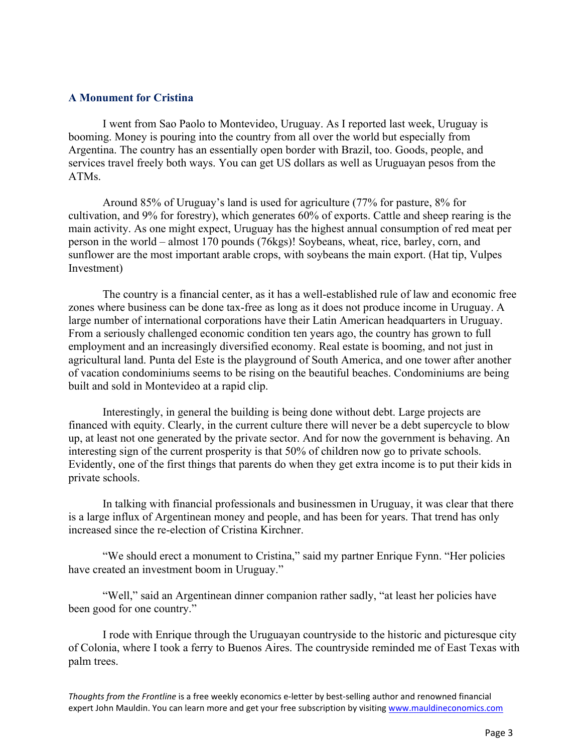#### **A Monument for Cristina**

I went from Sao Paolo to Montevideo, Uruguay. As I reported last week, Uruguay is booming. Money is pouring into the country from all over the world but especially from Argentina. The country has an essentially open border with Brazil, too. Goods, people, and services travel freely both ways. You can get US dollars as well as Uruguayan pesos from the ATMs.

Around 85% of Uruguay's land is used for agriculture (77% for pasture, 8% for cultivation, and 9% for forestry), which generates 60% of exports. Cattle and sheep rearing is the main activity. As one might expect, Uruguay has the highest annual consumption of red meat per person in the world – almost 170 pounds (76kgs)! Soybeans, wheat, rice, barley, corn, and sunflower are the most important arable crops, with soybeans the main export. (Hat tip, Vulpes Investment)

The country is a financial center, as it has a well-established rule of law and economic free zones where business can be done tax-free as long as it does not produce income in Uruguay. A large number of international corporations have their Latin American headquarters in Uruguay. From a seriously challenged economic condition ten years ago, the country has grown to full employment and an increasingly diversified economy. Real estate is booming, and not just in agricultural land. Punta del Este is the playground of South America, and one tower after another of vacation condominiums seems to be rising on the beautiful beaches. Condominiums are being built and sold in Montevideo at a rapid clip.

Interestingly, in general the building is being done without debt. Large projects are financed with equity. Clearly, in the current culture there will never be a debt supercycle to blow up, at least not one generated by the private sector. And for now the government is behaving. An interesting sign of the current prosperity is that 50% of children now go to private schools. Evidently, one of the first things that parents do when they get extra income is to put their kids in private schools.

In talking with financial professionals and businessmen in Uruguay, it was clear that there is a large influx of Argentinean money and people, and has been for years. That trend has only increased since the re-election of Cristina Kirchner.

"We should erect a monument to Cristina," said my partner Enrique Fynn. "Her policies have created an investment boom in Uruguay."

"Well," said an Argentinean dinner companion rather sadly, "at least her policies have been good for one country."

I rode with Enrique through the Uruguayan countryside to the historic and picturesque city of Colonia, where I took a ferry to Buenos Aires. The countryside reminded me of East Texas with palm trees.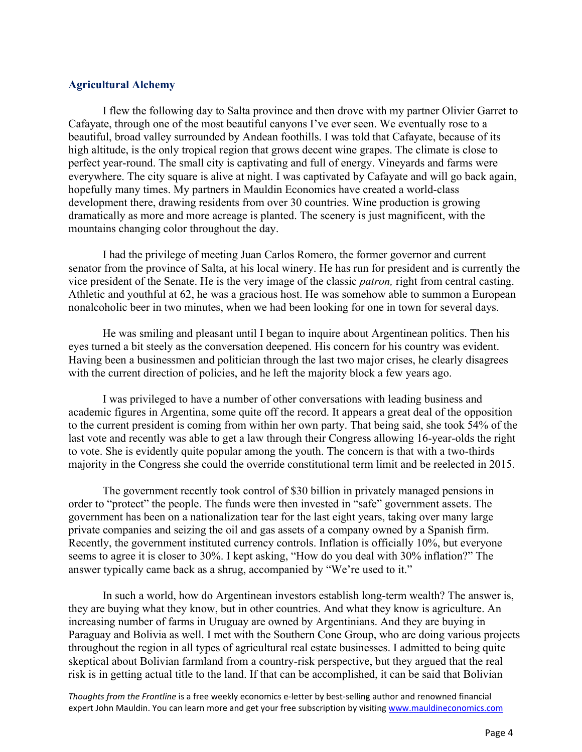#### **Agricultural Alchemy**

I flew the following day to Salta province and then drove with my partner Olivier Garret to Cafayate, through one of the most beautiful canyons I've ever seen. We eventually rose to a beautiful, broad valley surrounded by Andean foothills. I was told that Cafayate, because of its high altitude, is the only tropical region that grows decent wine grapes. The climate is close to perfect year-round. The small city is captivating and full of energy. Vineyards and farms were everywhere. The city square is alive at night. I was captivated by Cafayate and will go back again, hopefully many times. My partners in Mauldin Economics have created a world-class development there, drawing residents from over 30 countries. Wine production is growing dramatically as more and more acreage is planted. The scenery is just magnificent, with the mountains changing color throughout the day.

I had the privilege of meeting Juan Carlos Romero, the former governor and current senator from the province of Salta, at his local winery. He has run for president and is currently the vice president of the Senate. He is the very image of the classic *patron,* right from central casting. Athletic and youthful at 62, he was a gracious host. He was somehow able to summon a European nonalcoholic beer in two minutes, when we had been looking for one in town for several days.

He was smiling and pleasant until I began to inquire about Argentinean politics. Then his eyes turned a bit steely as the conversation deepened. His concern for his country was evident. Having been a businessmen and politician through the last two major crises, he clearly disagrees with the current direction of policies, and he left the majority block a few years ago.

I was privileged to have a number of other conversations with leading business and academic figures in Argentina, some quite off the record. It appears a great deal of the opposition to the current president is coming from within her own party. That being said, she took 54% of the last vote and recently was able to get a law through their Congress allowing 16-year-olds the right to vote. She is evidently quite popular among the youth. The concern is that with a two-thirds majority in the Congress she could the override constitutional term limit and be reelected in 2015.

The government recently took control of \$30 billion in privately managed pensions in order to "protect" the people. The funds were then invested in "safe" government assets. The government has been on a nationalization tear for the last eight years, taking over many large private companies and seizing the oil and gas assets of a company owned by a Spanish firm. Recently, the government instituted currency controls. Inflation is officially 10%, but everyone seems to agree it is closer to 30%. I kept asking, "How do you deal with 30% inflation?" The answer typically came back as a shrug, accompanied by "We're used to it."

In such a world, how do Argentinean investors establish long-term wealth? The answer is, they are buying what they know, but in other countries. And what they know is agriculture. An increasing number of farms in Uruguay are owned by Argentinians. And they are buying in Paraguay and Bolivia as well. I met with the Southern Cone Group, who are doing various projects throughout the region in all types of agricultural real estate businesses. I admitted to being quite skeptical about Bolivian farmland from a country-risk perspective, but they argued that the real risk is in getting actual title to the land. If that can be accomplished, it can be said that Bolivian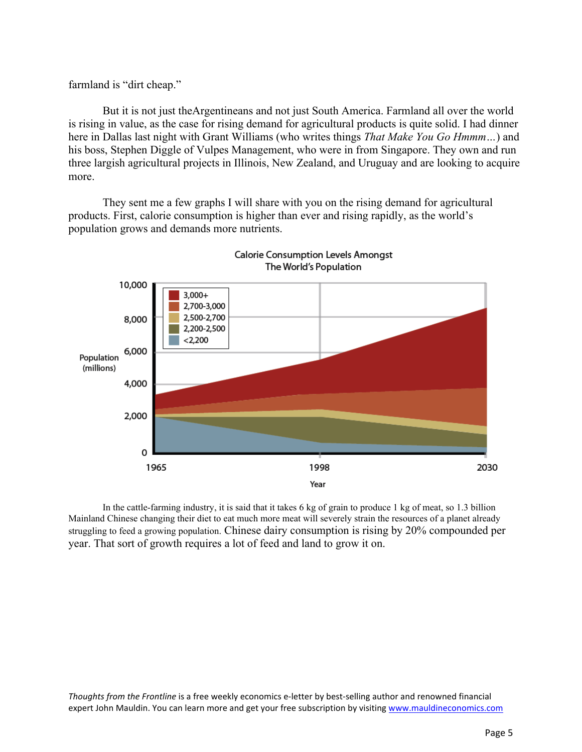farmland is "dirt cheap."

But it is not just theArgentineans and not just South America. Farmland all over the world is rising in value, as the case for rising demand for agricultural products is quite solid. I had dinner here in Dallas last night with Grant Williams (who writes things *That Make You Go Hmmm…*) and his boss, Stephen Diggle of Vulpes Management, who were in from Singapore. They own and run three largish agricultural projects in Illinois, New Zealand, and Uruguay and are looking to acquire more.

They sent me a few graphs I will share with you on the rising demand for agricultural products. First, calorie consumption is higher than ever and rising rapidly, as the world's population grows and demands more nutrients.



In the cattle-farming industry, it is said that it takes 6 kg of grain to produce 1 kg of meat, so 1.3 billion Mainland Chinese changing their diet to eat much more meat will severely strain the resources of a planet already struggling to feed a growing population. Chinese dairy consumption is rising by 20% compounded per year. That sort of growth requires a lot of feed and land to grow it on.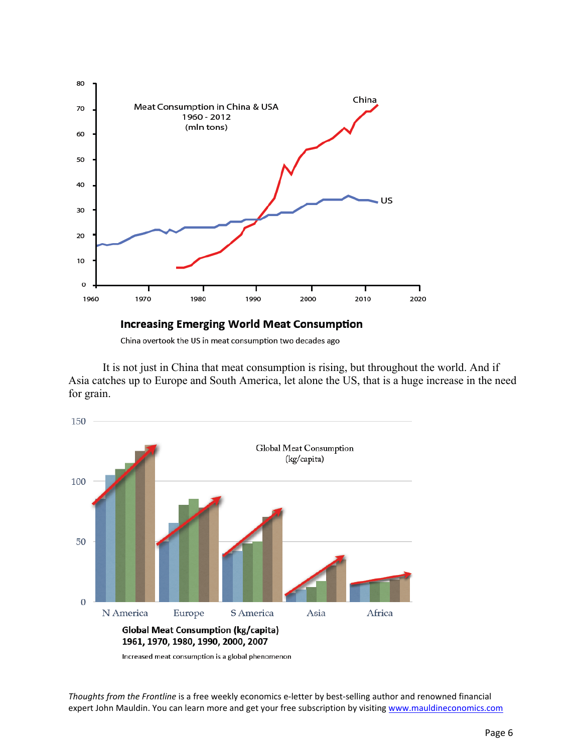

China overtook the US in meat consumption two decades ago

It is not just in China that meat consumption is rising, but throughout the world. And if Asia catches up to Europe and South America, let alone the US, that is a huge increase in the need for grain.



Increased meat consumption is a global phenomenon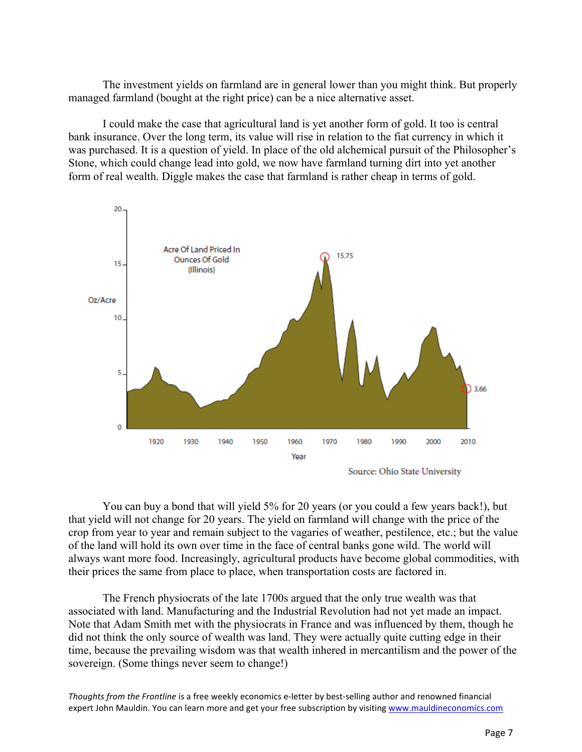The investment yields on farmland are in general lower than you might think. But properly managed farmland (bought at the right price) can be a nice alternative asset.

I could make the case that agricultural land is yet another form of gold. It too is central bank insurance. Over the long term, its value will rise in relation to the fiat currency in which it was purchased. It is a question of yield. In place of the old alchemical pursuit of the Philosopher's Stone, which could change lead into gold, we now have farmland turning dirt into yet another form of real wealth. Diggle makes the case that farmland is rather cheap in terms of gold.



Source: Ohio State University

You can buy a bond that will yield 5% for 20 years (or you could a few years back!), but that yield will not change for 20 years. The yield on farmland will change with the price of the crop from year to year and remain subject to the vagaries of weather, pestilence, etc.; but the value of the land will hold its own over time in the face of central banks gone wild. The world will always want more food. Increasingly, agricultural products have become global commodities, with their prices the same from place to place, when transportation costs are factored in.

The French physiocrats of the late 1700s argued that the only true wealth was that associated with land. Manufacturing and the Industrial Revolution had not yet made an impact. Note that Adam Smith met with the physiocrats in France and was influenced by them, though he did not think the only source of wealth was land. They were actually quite cutting edge in their time, because the prevailing wisdom was that wealth inhered in mercantilism and the power of the sovereign. (Some things never seem to change!)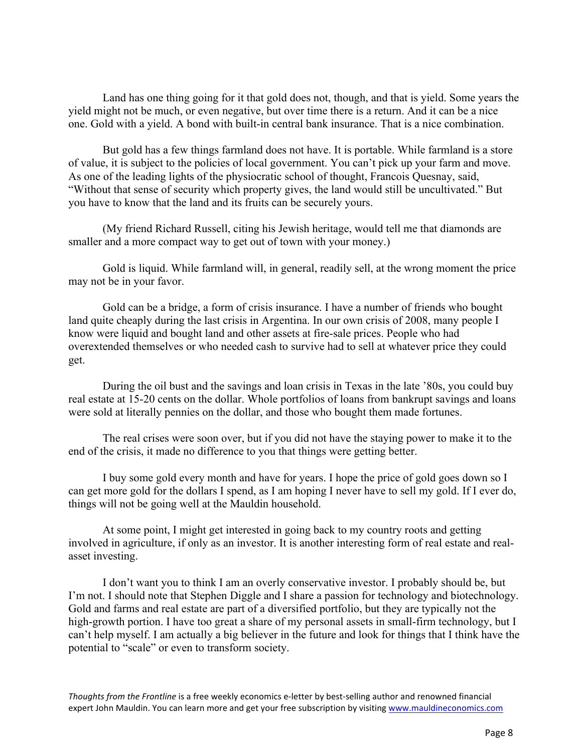Land has one thing going for it that gold does not, though, and that is yield. Some years the yield might not be much, or even negative, but over time there is a return. And it can be a nice one. Gold with a yield. A bond with built-in central bank insurance. That is a nice combination.

But gold has a few things farmland does not have. It is portable. While farmland is a store of value, it is subject to the policies of local government. You can't pick up your farm and move. As one of the leading lights of the physiocratic school of thought, Francois Quesnay, said, "Without that sense of security which property gives, the land would still be uncultivated." But you have to know that the land and its fruits can be securely yours.

(My friend Richard Russell, citing his Jewish heritage, would tell me that diamonds are smaller and a more compact way to get out of town with your money.)

Gold is liquid. While farmland will, in general, readily sell, at the wrong moment the price may not be in your favor.

Gold can be a bridge, a form of crisis insurance. I have a number of friends who bought land quite cheaply during the last crisis in Argentina. In our own crisis of 2008, many people I know were liquid and bought land and other assets at fire-sale prices. People who had overextended themselves or who needed cash to survive had to sell at whatever price they could get.

During the oil bust and the savings and loan crisis in Texas in the late '80s, you could buy real estate at 15-20 cents on the dollar. Whole portfolios of loans from bankrupt savings and loans were sold at literally pennies on the dollar, and those who bought them made fortunes.

The real crises were soon over, but if you did not have the staying power to make it to the end of the crisis, it made no difference to you that things were getting better.

I buy some gold every month and have for years. I hope the price of gold goes down so I can get more gold for the dollars I spend, as I am hoping I never have to sell my gold. If I ever do, things will not be going well at the Mauldin household.

At some point, I might get interested in going back to my country roots and getting involved in agriculture, if only as an investor. It is another interesting form of real estate and realasset investing.

I don't want you to think I am an overly conservative investor. I probably should be, but I'm not. I should note that Stephen Diggle and I share a passion for technology and biotechnology. Gold and farms and real estate are part of a diversified portfolio, but they are typically not the high-growth portion. I have too great a share of my personal assets in small-firm technology, but I can't help myself. I am actually a big believer in the future and look for things that I think have the potential to "scale" or even to transform society.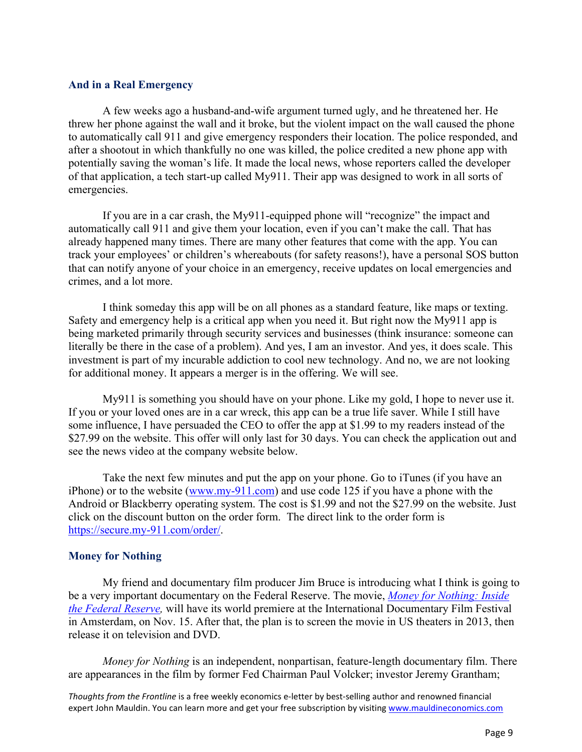#### **And in a Real Emergency**

A few weeks ago a husband-and-wife argument turned ugly, and he threatened her. He threw her phone against the wall and it broke, but the violent impact on the wall caused the phone to automatically call 911 and give emergency responders their location. The police responded, and after a shootout in which thankfully no one was killed, the police credited a new phone app with potentially saving the woman's life. It made the local news, whose reporters called the developer of that application, a tech start-up called My911. Their app was designed to work in all sorts of emergencies.

If you are in a car crash, the My911-equipped phone will "recognize" the impact and automatically call 911 and give them your location, even if you can't make the call. That has already happened many times. There are many other features that come with the app. You can track your employees' or children's whereabouts (for safety reasons!), have a personal SOS button that can notify anyone of your choice in an emergency, receive updates on local emergencies and crimes, and a lot more.

I think someday this app will be on all phones as a standard feature, like maps or texting. Safety and emergency help is a critical app when you need it. But right now the My911 app is being marketed primarily through security services and businesses (think insurance: someone can literally be there in the case of a problem). And yes, I am an investor. And yes, it does scale. This investment is part of my incurable addiction to cool new technology. And no, we are not looking for additional money. It appears a merger is in the offering. We will see.

My911 is something you should have on your phone. Like my gold, I hope to never use it. If you or your loved ones are in a car wreck, this app can be a true life saver. While I still have some influence, I have persuaded the CEO to offer the app at \$1.99 to my readers instead of the \$27.99 on the website. This offer will only last for 30 days. You can check the application out and see the news video at the company website below.

Take the next few minutes and put the app on your phone. Go to iTunes (if you have an iPhone) or to the website (www.my-911.com) and use code 125 if you have a phone with the Android or Blackberry operating system. The cost is \$1.99 and not the \$27.99 on the website. Just click on the discount button on the order form. The direct link to the order form is https://secure.my-911.com/order/.

#### **Money for Nothing**

My friend and documentary film producer Jim Bruce is introducing what I think is going to be a very important documentary on the Federal Reserve. The movie, *Money for Nothing: Inside the Federal Reserve,* [will have its world premiere at the International Documentary Film Festival](#page-13-0) in Amsterdam, on Nov. 15. After that, the plan is to screen the movie in US theaters in 2013, then release it on television and DVD.

*Money for Nothing* is an independent, nonpartisan, feature-length documentary film. There are appearances in the film by former Fed Chairman Paul Volcker; investor Jeremy Grantham;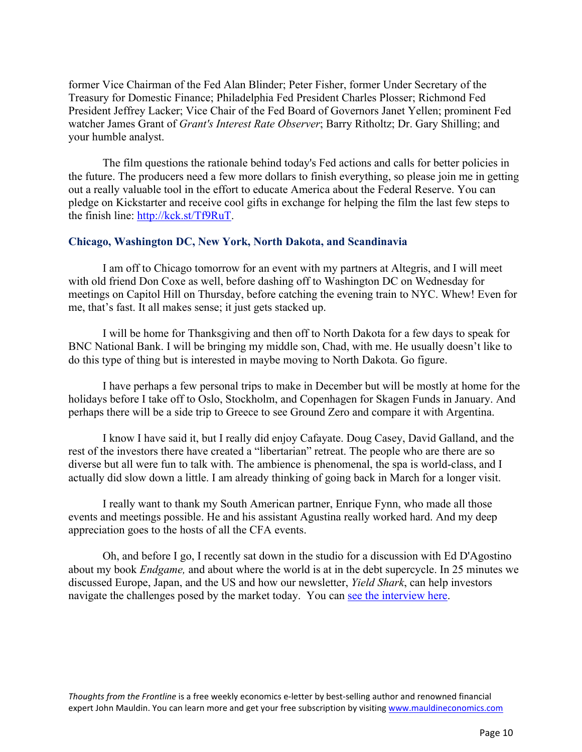former Vice Chairman of the Fed Alan Blinder; Peter Fisher, former Under Secretary of the Treasury for Domestic Finance; Philadelphia Fed President Charles Plosser; Richmond Fed President Jeffrey Lacker; Vice Chair of the Fed Board of Governors Janet Yellen; prominent Fed watcher James Grant of *Grant's Interest Rate Observer*; Barry Ritholtz; Dr. Gary Shilling; and your humble analyst.

The film questions the rationale behind today's Fed actions and calls for better policies in the future. The producers need a few more dollars to finish everything, so please join me in getting out a really valuable tool in the effort to educate America about the Federal Reserve. You can pledge on Kickstarter and receive cool gifts in exchange for helping the film the last few steps to the finish line: http://kck.st/Tf9RuT.

#### **Chicago, Washington DC, New York, North Dakota, and Scandinavia**

I am off to Chicago tomorrow for an event with my partners at Altegris, and I will meet with old friend Don Coxe as well, before dashing off to Washington DC on Wednesday for meetings on Capitol Hill on Thursday, before catching the evening train to NYC. Whew! Even for me, that's fast. It all makes sense; it just gets stacked up.

I will be home for Thanksgiving and then off to North Dakota for a few days to speak for BNC National Bank. I will be bringing my middle son, Chad, with me. He usually doesn't like to do this type of thing but is interested in maybe moving to North Dakota. Go figure.

I have perhaps a few personal trips to make in December but will be mostly at home for the holidays before I take off to Oslo, Stockholm, and Copenhagen for Skagen Funds in January. And perhaps there will be a side trip to Greece to see Ground Zero and compare it with Argentina.

I know I have said it, but I really did enjoy Cafayate. Doug Casey, David Galland, and the rest of the investors there have created a "libertarian" retreat. The people who are there are so diverse but all were fun to talk with. The ambience is phenomenal, the spa is world-class, and I actually did slow down a little. I am already thinking of going back in March for a longer visit.

I really want to thank my South American partner, Enrique Fynn, who made all those events and meetings possible. He and his assistant Agustina really worked hard. And my deep appreciation goes to the hosts of all the CFA events.

Oh, and before I go, I recently sat down in the studio for a discussion with Ed D'Agostino about my book *Endgame,* and about where the world is at in the debt supercycle. In 25 minutes we discussed Europe, Japan, and the US and how our newsletter, *Yield Shark*, can help investors navigate the challenges posed by the market today. You can [see the interview here.](http://www.mauldineconomics.com/landing/yield-shark-video-landing-v1/MEC014TF1112A)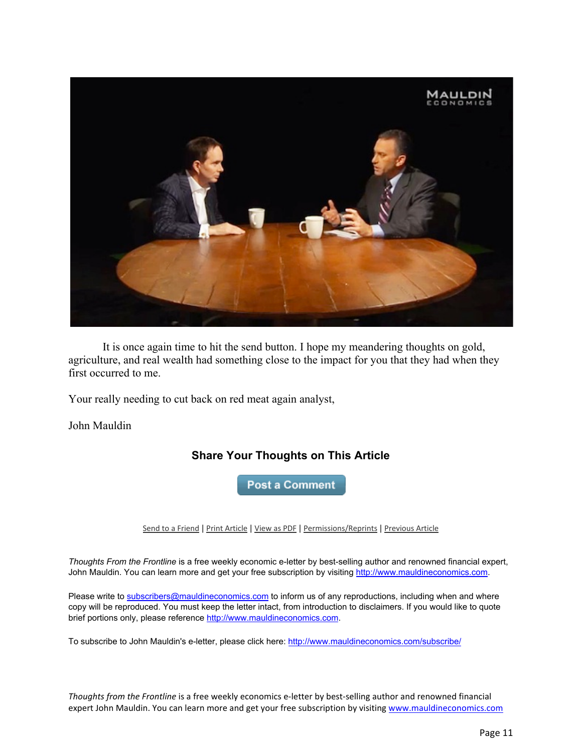

It is once again time to hit the send button. I hope my meandering thoughts on gold, agriculture, and real wealth had something close to the impact for you that they had when they first occurred to me.

Your really needing to cut back on red meat again analyst,

John Mauldin

### **Share Your Thoughts on This Article**

**Post a Comment** 

Send to a Friend | Print Article | View as PDF | Permissions/Reprints | Previous Article

*Thoughts From the Frontline* is a free weekly economic e-letter by best-selling author and renowned financial expert, John Mauldin. You can learn more and get your free subscription by visiting http://www.mauldineconomics.com.

Please write to subscribers@mauldineconomics.com to inform us of any reproductions, including when and where copy will be reproduced. You must keep the letter intact, from introduction to disclaimers. If you would like to quote brief portions only, please reference http://www.mauldineconomics.com.

To subscribe to John Mauldin's e-letter, please click here: http://www.mauldineconomics.com/subscribe/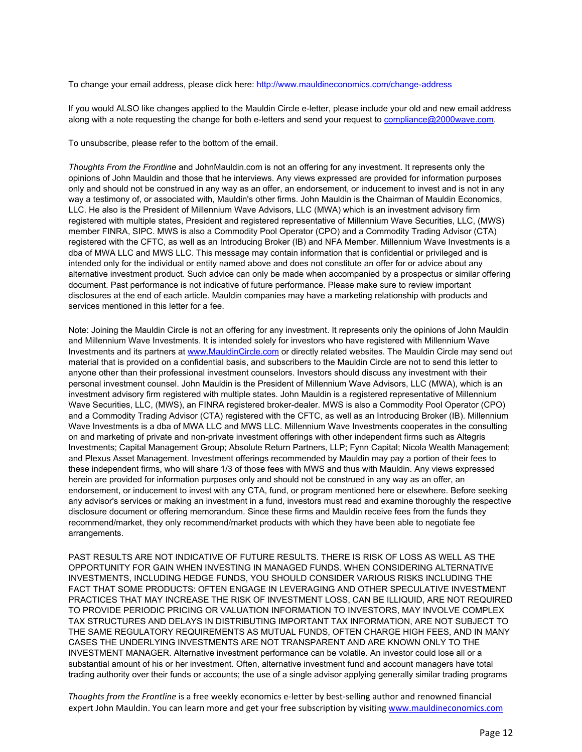To change your email address, please click here: http://www.mauldineconomics.com/change-address

If you would ALSO like changes applied to the Mauldin Circle e-letter, please include your old and new email address along with a note requesting the change for both e-letters and send your request to compliance@2000wave.com.

To unsubscribe, please refer to the bottom of the email.

*Thoughts From the Frontline* and JohnMauldin.com is not an offering for any investment. It represents only the opinions of John Mauldin and those that he interviews. Any views expressed are provided for information purposes only and should not be construed in any way as an offer, an endorsement, or inducement to invest and is not in any way a testimony of, or associated with, Mauldin's other firms. John Mauldin is the Chairman of Mauldin Economics, LLC. He also is the President of Millennium Wave Advisors, LLC (MWA) which is an investment advisory firm registered with multiple states, President and registered representative of Millennium Wave Securities, LLC, (MWS) member FINRA, SIPC. MWS is also a Commodity Pool Operator (CPO) and a Commodity Trading Advisor (CTA) registered with the CFTC, as well as an Introducing Broker (IB) and NFA Member. Millennium Wave Investments is a dba of MWA LLC and MWS LLC. This message may contain information that is confidential or privileged and is intended only for the individual or entity named above and does not constitute an offer for or advice about any alternative investment product. Such advice can only be made when accompanied by a prospectus or similar offering document. Past performance is not indicative of future performance. Please make sure to review important disclosures at the end of each article. Mauldin companies may have a marketing relationship with products and services mentioned in this letter for a fee.

Note: Joining the Mauldin Circle is not an offering for any investment. It represents only the opinions of John Mauldin and Millennium Wave Investments. It is intended solely for investors who have registered with Millennium Wave Investments and its partners at www.MauldinCircle.com or directly related websites. The Mauldin Circle may send out material that is provided on a confidential basis, and subscribers to the Mauldin Circle are not to send this letter to anyone other than their professional investment counselors. Investors should discuss any investment with their personal investment counsel. John Mauldin is the President of Millennium Wave Advisors, LLC (MWA), which is an investment advisory firm registered with multiple states. John Mauldin is a registered representative of Millennium Wave Securities, LLC, (MWS), an FINRA registered broker-dealer. MWS is also a Commodity Pool Operator (CPO) and a Commodity Trading Advisor (CTA) registered with the CFTC, as well as an Introducing Broker (IB). Millennium Wave Investments is a dba of MWA LLC and MWS LLC. Millennium Wave Investments cooperates in the consulting on and marketing of private and non-private investment offerings with other independent firms such as Altegris Investments; Capital Management Group; Absolute Return Partners, LLP; Fynn Capital; Nicola Wealth Management; and Plexus Asset Management. Investment offerings recommended by Mauldin may pay a portion of their fees to these independent firms, who will share 1/3 of those fees with MWS and thus with Mauldin. Any views expressed herein are provided for information purposes only and should not be construed in any way as an offer, an endorsement, or inducement to invest with any CTA, fund, or program mentioned here or elsewhere. Before seeking any advisor's services or making an investment in a fund, investors must read and examine thoroughly the respective disclosure document or offering memorandum. Since these firms and Mauldin receive fees from the funds they recommend/market, they only recommend/market products with which they have been able to negotiate fee arrangements.

PAST RESULTS ARE NOT INDICATIVE OF FUTURE RESULTS. THERE IS RISK OF LOSS AS WELL AS THE OPPORTUNITY FOR GAIN WHEN INVESTING IN MANAGED FUNDS. WHEN CONSIDERING ALTERNATIVE INVESTMENTS, INCLUDING HEDGE FUNDS, YOU SHOULD CONSIDER VARIOUS RISKS INCLUDING THE FACT THAT SOME PRODUCTS: OFTEN ENGAGE IN LEVERAGING AND OTHER SPECULATIVE INVESTMENT PRACTICES THAT MAY INCREASE THE RISK OF INVESTMENT LOSS, CAN BE ILLIQUID, ARE NOT REQUIRED TO PROVIDE PERIODIC PRICING OR VALUATION INFORMATION TO INVESTORS, MAY INVOLVE COMPLEX TAX STRUCTURES AND DELAYS IN DISTRIBUTING IMPORTANT TAX INFORMATION, ARE NOT SUBJECT TO THE SAME REGULATORY REQUIREMENTS AS MUTUAL FUNDS, OFTEN CHARGE HIGH FEES, AND IN MANY CASES THE UNDERLYING INVESTMENTS ARE NOT TRANSPARENT AND ARE KNOWN ONLY TO THE INVESTMENT MANAGER. Alternative investment performance can be volatile. An investor could lose all or a substantial amount of his or her investment. Often, alternative investment fund and account managers have total trading authority over their funds or accounts; the use of a single advisor applying generally similar trading programs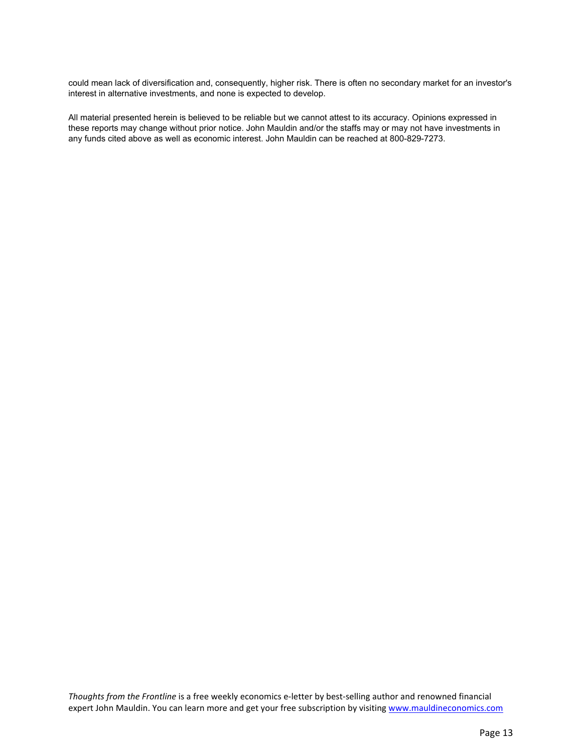could mean lack of diversification and, consequently, higher risk. There is often no secondary market for an investor's interest in alternative investments, and none is expected to develop.

All material presented herein is believed to be reliable but we cannot attest to its accuracy. Opinions expressed in these reports may change without prior notice. John Mauldin and/or the staffs may or may not have investments in any funds cited above as well as economic interest. John Mauldin can be reached at 800-829-7273.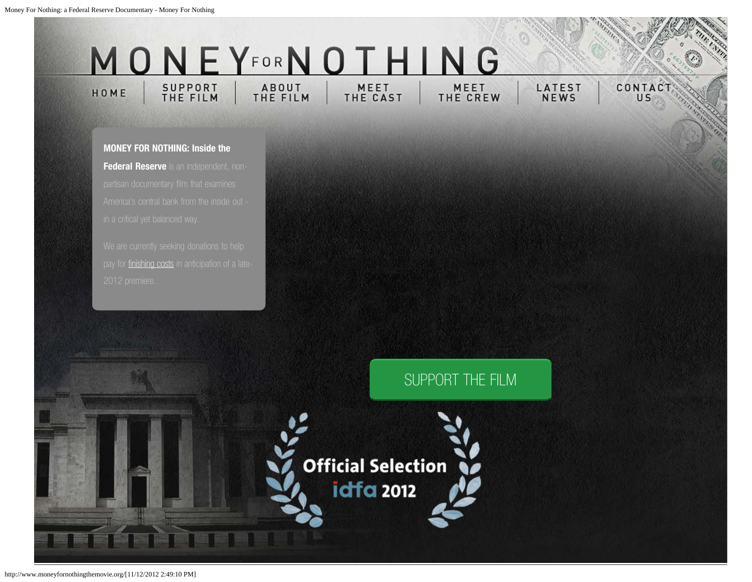#### MONEYFORNOTHI N<sub>G</sub> SUPPORT<br>THE FILM ABOUT<br>THE FILM MEET MEET HOME THE CAST THE CREW

**LATEST**<br>NEWS CONTAC

U<sub>S</sub>

<span id="page-13-0"></span>**MONEY FOR NOTHING: Inside the Federal Reserve** is an independent, non-

pay for [finishing costs](http://www.moneyfornothingthemovie.org/support-the-film) in anticipation of a late-

## [SUPPORT THE FILM](http://www.moneyfornothingthemovie.org/support-the-film/)

**Official Selection idfa 2012**